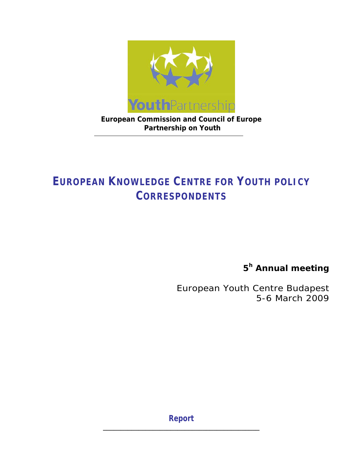

**European Commission and Council of Europe Partnership on Youth** 

# **EUROPEAN KNOWLEDGE CENTRE FOR YOUTH POLICY CORRESPONDENTS**

**5h Annual meeting** 

*European Youth Centre Budapest 5-6 March 2009* 

**Report \_\_\_\_\_\_\_\_\_\_\_\_\_\_\_\_\_\_\_\_\_\_\_\_\_\_\_\_\_\_\_\_\_\_\_\_\_\_\_\_\_\_\_\_**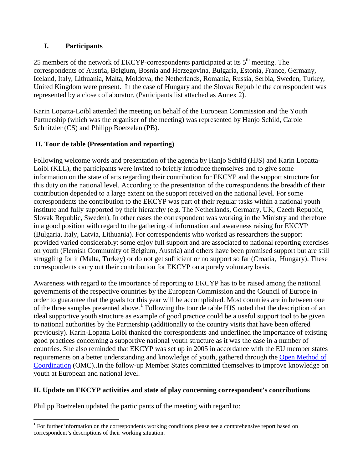## **I. Participants**

25 members of the network of EKCYP-correspondents participated at its  $5<sup>th</sup>$  meeting. The correspondents of Austria, Belgium, Bosnia and Herzegovina, Bulgaria, Estonia, France, Germany, Iceland, Italy, Lithuania, Malta, Moldova, the Netherlands, Romania, Russia, Serbia, Sweden, Turkey, United Kingdom were present. In the case of Hungary and the Slovak Republic the correspondent was represented by a close collaborator. (Participants list attached as Annex 2).

Karin Lopatta-Loibl attended the meeting on behalf of the European Commission and the Youth Partnership (which was the organiser of the meeting) was represented by Hanjo Schild, Carole Schnitzler (CS) and Philipp Boetzelen (PB).

## **II. Tour de table (Presentation and reporting)**

Following welcome words and presentation of the agenda by Hanjo Schild (HJS) and Karin Lopatta-Loibl (KLL), the participants were invited to briefly introduce themselves and to give some information on the state of arts regarding their contribution for EKCYP and the support structure for this duty on the national level. According to the presentation of the correspondents the breadth of their contribution depended to a large extent on the support received on the national level. For some correspondents the contribution to the EKCYP was part of their regular tasks within a national youth institute and fully supported by their hierarchy (e.g. The Netherlands, Germany, UK, Czech Republic, Slovak Republic, Sweden). In other cases the correspondent was working in the Ministry and therefore in a good position with regard to the gathering of information and awareness raising for EKCYP (Bulgaria, Italy, Latvia, Lithuania). For correspondents who worked as researchers the support provided varied considerably: some enjoy full support and are associated to national reporting exercises on youth (Flemish Community of Belgium, Austria) and others have been promised support but are still struggling for it (Malta, Turkey) or do not get sufficient or no support so far (Croatia, Hungary). These correspondents carry out their contribution for EKCYP on a purely voluntary basis.

Awareness with regard to the importance of reporting to EKCYP has to be raised among the national governments of the respective countries by the European Commission and the Council of Europe in order to guarantee that the goals for this year will be accomplished. Most countries are in between one of the three samples presented above.<sup>[1](#page-1-0)</sup> Following the tour de table HJS noted that the description of an ideal supportive youth structure as example of good practice could be a useful support tool to be given to national authorities by the Partnership (additionally to the country visits that have been offered previously). Karin-Lopatta Loibl thanked the correspondents and underlined the importance of existing good practices concerning a supportive national youth structure as it was the case in a number of countries. She also reminded that EKCYP was set up in 2005 in accordance with the EU member states requirements on a better understanding and knowledge of youth, gathered through the [Open Method of](http://youth-partnership.coe.int/youth-partnership/glossary.html#O)  [Coordination](http://youth-partnership.coe.int/youth-partnership/glossary.html#O) (OMC)..In the follow-up Member States committed themselves to improve knowledge on youth at European and national level.

# **II. Update on EKCYP activities and state of play concerning correspondent's contributions**

Philipp Boetzelen updated the participants of the meeting with regard to:

 $\overline{a}$ 

<span id="page-1-0"></span><sup>&</sup>lt;sup>1</sup> For further information on the correspondents working conditions please see a comprehensive report based on correspondent's descriptions of their working situation.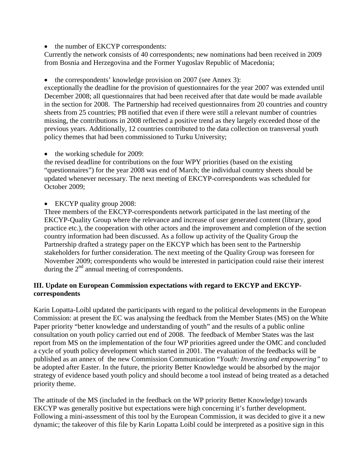• the number of EKCYP correspondents:

Currently the network consists of 40 correspondents; new nominations had been received in 2009 from Bosnia and Herzegovina and the Former Yugoslav Republic of Macedonia;

• the correspondents' knowledge provision on 2007 (see Annex 3):

exceptionally the deadline for the provision of questionnaires for the year 2007 was extended until December 2008; all questionnaires that had been received after that date would be made available in the section for 2008. The Partnership had received questionnaires from 20 countries and country sheets from 25 countries; PB notified that even if there were still a relevant number of countries missing, the contributions in 2008 reflected a positive trend as they largely exceeded those of the previous years. Additionally, 12 countries contributed to the data collection on transversal youth policy themes that had been commissioned to Turku University;

• the working schedule for 2009:

the revised deadline for contributions on the four WPY priorities (based on the existing "questionnaires") for the year 2008 was end of March; the individual country sheets should be updated whenever necessary. The next meeting of EKCYP-correspondents was scheduled for October 2009;

• EKCYP quality group 2008:

Three members of the EKCYP-correspondents network participated in the last meeting of the EKCYP-Quality Group where the relevance and increase of user generated content (library, good practice etc.), the cooperation with other actors and the improvement and completion of the section country information had been discussed. As a follow up activity of the Quality Group the Partnership drafted a strategy paper on the EKCYP which has been sent to the Partnership stakeholders for further consideration. The next meeting of the Quality Group was foreseen for November 2009; correspondents who would be interested in participation could raise their interest during the  $2<sup>nd</sup>$  annual meeting of correspondents.

## **III. Update on European Commission expectations with regard to EKCYP and EKCYPcorrespondents**

Karin Lopatta-Loibl updated the participants with regard to the political developments in the European Commission: at present the EC was analysing the feedback from the Member States (MS) on the White Paper priority "better knowledge and understanding of youth" and the results of a public online consultation on youth policy carried out end of 2008. The feedback of Member States was the last report from MS on the implementation of the four WP priorities agreed under the OMC and concluded a cycle of youth policy development which started in 2001. The evaluation of the feedbacks will be published as an annex of the new Commission Communication "*Youth: Investing and empowering"* to be adopted after Easter. In the future, the priority Better Knowledge would be absorbed by the major strategy of evidence based youth policy and should become a tool instead of being treated as a detached priority theme.

The attitude of the MS (included in the feedback on the WP priority Better Knowledge) towards EKCYP was generally positive but expectations were high concerning it's further development. Following a mini-assessment of this tool by the European Commission, it was decided to give it a new dynamic; the takeover of this file by Karin Lopatta Loibl could be interpreted as a positive sign in this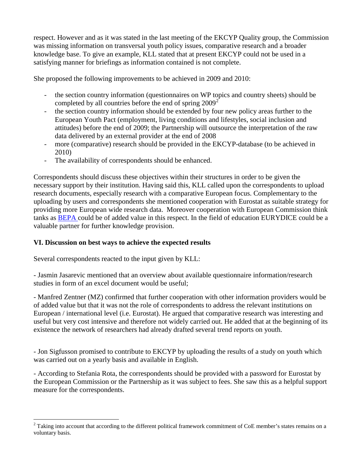respect. However and as it was stated in the last meeting of the EKCYP Quality group, the Commission was missing information on transversal youth policy issues, comparative research and a broader knowledge base. To give an example, KLL stated that at present EKCYP could not be used in a satisfying manner for briefings as information contained is not complete.

She proposed the following improvements to be achieved in 2009 and 2010:

- the section country information (questionnaires on WP topics and country sheets) should be completed by all countries before the end of spring  $2009^2$  $2009^2$
- the section country information should be extended by four new policy areas further to the European Youth Pact (employment, living conditions and lifestyles, social inclusion and attitudes) before the end of 2009; the Partnership will outsource the interpretation of the raw data delivered by an external provider at the end of 2008
- more (comparative) research should be provided in the EKCYP-database (to be achieved in 2010)
- The availability of correspondents should be enhanced.

Correspondents should discuss these objectives within their structures in order to be given the necessary support by their institution. Having said this, KLL called upon the correspondents to upload research documents, especially research with a comparative European focus. Complementary to the uploading by users and correspondents she mentioned cooperation with Eurostat as suitable strategy for providing more European wide research data. Moreover cooperation with European Commission think tanks as [BEPA](http://ec.europa.eu/dgs/policy_advisers/index_en.htm) could be of added value in this respect. In the field of education EURYDICE could be a valuable partner for further knowledge provision.

## **VI. Discussion on best ways to achieve the expected results**

Several correspondents reacted to the input given by KLL:

 $\overline{a}$ 

- Jasmin Jasarevic mentioned that an overview about available questionnaire information/research studies in form of an excel document would be useful;

- Manfred Zentner (MZ) confirmed that further cooperation with other information providers would be of added value but that it was not the role of correspondents to address the relevant institutions on European / international level (i.e. Eurostat). He argued that comparative research was interesting and useful but very cost intensive and therefore not widely carried out. He added that at the beginning of its existence the network of researchers had already drafted several trend reports on youth.

- Jon Sigfusson promised to contribute to EKCYP by uploading the results of a study on youth which was carried out on a yearly basis and available in English.

- According to Stefania Rota, the correspondents should be provided with a password for Eurostat by the European Commission or the Partnership as it was subject to fees. She saw this as a helpful support measure for the correspondents.

<span id="page-3-0"></span> $2^{2}$  Taking into account that according to the different political framework commitment of CoE member's states remains on a voluntary basis.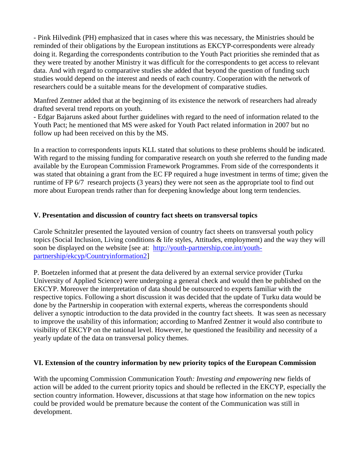- Pink Hilvedink (PH) emphasized that in cases where this was necessary, the Ministries should be reminded of their obligations by the European institutions as EKCYP-correspondents were already doing it. Regarding the correspondents contribution to the Youth Pact priorities she reminded that as they were treated by another Ministry it was difficult for the correspondents to get access to relevant data. And with regard to comparative studies she added that beyond the question of funding such studies would depend on the interest and needs of each country. Cooperation with the network of researchers could be a suitable means for the development of comparative studies.

Manfred Zentner added that at the beginning of its existence the network of researchers had already drafted several trend reports on youth.

- Edgar Bajaruns asked about further guidelines with regard to the need of information related to the Youth Pact; he mentioned that MS were asked for Youth Pact related information in 2007 but no follow up had been received on this by the MS.

In a reaction to correspondents inputs KLL stated that solutions to these problems should be indicated. With regard to the missing funding for comparative research on youth she referred to the funding made available by the European Commission Framework Programmes. From side of the correspondents it was stated that obtaining a grant from the EC FP required a huge investment in terms of time; given the runtime of FP 6/7 research projects (3 years) they were not seen as the appropriate tool to find out more about European trends rather than for deepening knowledge about long term tendencies.

## **V. Presentation and discussion of country fact sheets on transversal topics**

Carole Schnitzler presented the layouted version of country fact sheets on transversal youth policy topics (Social Inclusion, Living conditions & life styles, Attitudes, employment) and the way they will soon be displayed on the website [see at: [http://youth-partnership.coe.int/youth](http://youth-partnership.coe.int/youth-partnership/ekcyp/Countryinformation2)[partnership/ekcyp/Countryinformation2\]](http://youth-partnership.coe.int/youth-partnership/ekcyp/Countryinformation2)

P. Boetzelen informed that at present the data delivered by an external service provider (Turku University of Applied Science) were undergoing a general check and would then be published on the EKCYP. Moreover the interpretation of data should be outsourced to experts familiar with the respective topics. Following a short discussion it was decided that the update of Turku data would be done by the Partnership in cooperation with external experts, whereas the correspondents should deliver a synoptic introduction to the data provided in the country fact sheets. It was seen as necessary to improve the usability of this information; according to Manfred Zentner it would also contribute to visibility of EKCYP on the national level. However, he questioned the feasibility and necessity of a yearly update of the data on transversal policy themes.

## **VI. Extension of the country information by new priority topics of the European Commission**

With the upcoming Commission Communication *Youth: Investing and empowering* new fields of action will be added to the current priority topics and should be reflected in the EKCYP, especially the section country information. However, discussions at that stage how information on the new topics could be provided would be premature because the content of the Communication was still in development.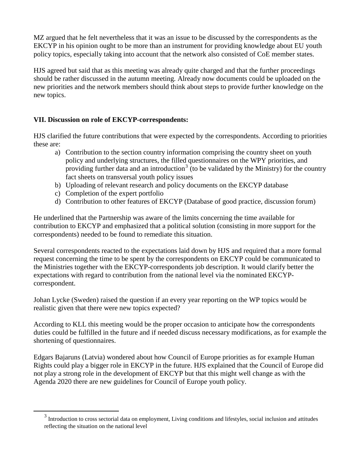MZ argued that he felt nevertheless that it was an issue to be discussed by the correspondents as the EKCYP in his opinion ought to be more than an instrument for providing knowledge about EU youth policy topics, especially taking into account that the network also consisted of CoE member states.

HJS agreed but said that as this meeting was already quite charged and that the further proceedings should be rather discussed in the autumn meeting. Already now documents could be uploaded on the new priorities and the network members should think about steps to provide further knowledge on the new topics.

## **VII. Discussion on role of EKCYP-correspondents:**

HJS clarified the future contributions that were expected by the correspondents. According to priorities these are:

- a) Contribution to the section country information comprising the country sheet on youth policy and underlying structures, the filled questionnaires on the WPY priorities, and providing further data and an introduction<sup>[3](#page-5-0)</sup> (to be validated by the Ministry) for the country fact sheets on transversal youth policy issues
- b) Uploading of relevant research and policy documents on the EKCYP database
- c) Completion of the expert portfolio
- d) Contribution to other features of EKCYP (Database of good practice, discussion forum)

He underlined that the Partnership was aware of the limits concerning the time available for contribution to EKCYP and emphasized that a political solution (consisting in more support for the correspondents) needed to be found to remediate this situation.

Several correspondents reacted to the expectations laid down by HJS and required that a more formal request concerning the time to be spent by the correspondents on EKCYP could be communicated to the Ministries together with the EKCYP-correspondents job description. It would clarify better the expectations with regard to contribution from the national level via the nominated EKCYPcorrespondent.

Johan Lycke (Sweden) raised the question if an every year reporting on the WP topics would be realistic given that there were new topics expected?

According to KLL this meeting would be the proper occasion to anticipate how the correspondents duties could be fulfilled in the future and if needed discuss necessary modifications, as for example the shortening of questionnaires.

Edgars Bajaruns (Latvia) wondered about how Council of Europe priorities as for example Human Rights could play a bigger role in EKCYP in the future. HJS explained that the Council of Europe did not play a strong role in the development of EKCYP but that this might well change as with the Agenda 2020 there are new guidelines for Council of Europe youth policy.

<span id="page-5-0"></span><sup>&</sup>lt;sup>3</sup><br><sup>3</sup> Introduction to cross sectorial data on employment, Living conditions and lifestyles, social inclusion and attitudes reflecting the situation on the national level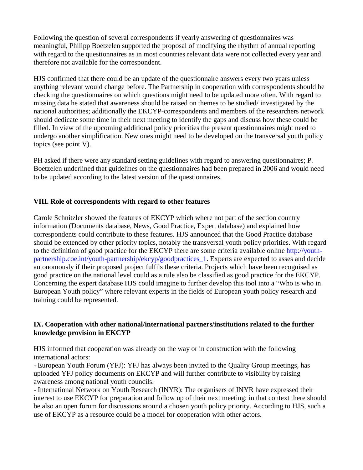Following the question of several correspondents if yearly answering of questionnaires was meaningful, Philipp Boetzelen supported the proposal of modifying the rhythm of annual reporting with regard to the questionnaires as in most countries relevant data were not collected every year and therefore not available for the correspondent.

HJS confirmed that there could be an update of the questionnaire answers every two years unless anything relevant would change before. The Partnership in cooperation with correspondents should be checking the questionnaires on which questions might need to be updated more often. With regard to missing data he stated that awareness should be raised on themes to be studied/ investigated by the national authorities; additionally the EKCYP-correspondents and members of the researchers network should dedicate some time in their next meeting to identify the gaps and discuss how these could be filled. In view of the upcoming additional policy priorities the present questionnaires might need to undergo another simplification. New ones might need to be developed on the transversal youth policy topics (see point V).

PH asked if there were any standard setting guidelines with regard to answering questionnaires; P. Boetzelen underlined that guidelines on the questionnaires had been prepared in 2006 and would need to be updated according to the latest version of the questionnaires.

## **VIII. Role of correspondents with regard to other features**

Carole Schnitzler showed the features of EKCYP which where not part of the section country information (Documents database, News, Good Practice, Expert database) and explained how correspondents could contribute to these features. HJS announced that the Good Practice database should be extended by other priority topics, notably the transversal youth policy priorities. With regard to the definition of good practice for the EKCYP there are some criteria available online [http://youth](http://youth-partnership.coe.int/youth-partnership/ekcyp/goodpractices_1)[partnership.coe.int/youth-partnership/ekcyp/goodpractices\\_1](http://youth-partnership.coe.int/youth-partnership/ekcyp/goodpractices_1). Experts are expected to asses and decide autonomously if their proposed project fulfils these criteria. Projects which have been recognised as good practice on the national level could as a rule also be classified as good practice for the EKCYP. Concerning the expert database HJS could imagine to further develop this tool into a "Who is who in European Youth policy" where relevant experts in the fields of European youth policy research and training could be represented.

#### **IX. Cooperation with other national/international partners/institutions related to the further knowledge provision in EKCYP**

HJS informed that cooperation was already on the way or in construction with the following international actors:

- European Youth Forum (YFJ): YFJ has always been invited to the Quality Group meetings, has uploaded YFJ policy documents on EKCYP and will further contribute to visibility by raising awareness among national youth councils.

- International Network on Youth Research (INYR): The organisers of INYR have expressed their interest to use EKCYP for preparation and follow up of their next meeting; in that context there should be also an open forum for discussions around a chosen youth policy priority. According to HJS, such a use of EKCYP as a resource could be a model for cooperation with other actors.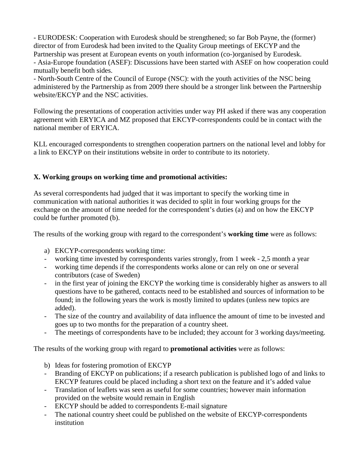- EURODESK: Cooperation with Eurodesk should be strengthened; so far Bob Payne, the (former) director of from Eurodesk had been invited to the Quality Group meetings of EKCYP and the Partnership was present at European events on youth information (co-)organised by Eurodesk.

- Asia-Europe foundation (ASEF): Discussions have been started with ASEF on how cooperation could mutually benefit both sides.

- North-South Centre of the Council of Europe (NSC): with the youth activities of the NSC being administered by the Partnership as from 2009 there should be a stronger link between the Partnership website/EKCYP and the NSC activities.

Following the presentations of cooperation activities under way PH asked if there was any cooperation agreement with ERYICA and MZ proposed that EKCYP-correspondents could be in contact with the national member of ERYICA.

KLL encouraged correspondents to strengthen cooperation partners on the national level and lobby for a link to EKCYP on their institutions website in order to contribute to its notoriety.

# **X. Working groups on working time and promotional activities:**

As several correspondents had judged that it was important to specify the working time in communication with national authorities it was decided to split in four working groups for the exchange on the amount of time needed for the correspondent's duties (a) and on how the EKCYP could be further promoted (b).

The results of the working group with regard to the correspondent's **working time** were as follows:

- a) EKCYP-correspondents working time:
- working time invested by correspondents varies strongly, from 1 week 2,5 month a year
- working time depends if the correspondents works alone or can rely on one or several contributors (case of Sweden)
- in the first year of joining the EKCYP the working time is considerably higher as answers to all questions have to be gathered, contacts need to be established and sources of information to be found; in the following years the work is mostly limited to updates (unless new topics are added).
- The size of the country and availability of data influence the amount of time to be invested and goes up to two months for the preparation of a country sheet.
- The meetings of correspondents have to be included; they account for 3 working days/meeting.

The results of the working group with regard to **promotional activities** were as follows:

- b) Ideas for fostering promotion of EKCYP
- Branding of EKCYP on publications; if a research publication is published logo of and links to EKCYP features could be placed including a short text on the feature and it's added value
- Translation of leaflets was seen as useful for some countries; however main information provided on the website would remain in English
- EKCYP should be added to correspondents E-mail signature
- The national country sheet could be published on the website of EKCYP-correspondents institution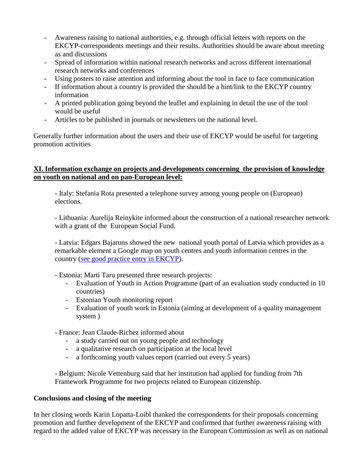- Awareness raising to national authorities, e.g. through official letters with reports on the EKCYP-correspondents meetings and their results. Authorities should be aware about meeting as and discussions
- Spread of information within national research networks and across different international research networks and conferences
- Using posters to raise attention and informing about the tool in face to face communication
- If information about a country is provided the should be a hint/link to the EKCYP country information
- A printed publication going beyond the leaflet and explaining in detail the use of the tool would be useful
- Articles to be published in journals or newsletters on the national level.

Generally further information about the users and their use of EKCYP would be useful for targeting promotion activities

#### **XI. Information exchange on projects and developments concerning the provision of knowledge on youth on national and on pan-European level:**

- Italy: Stefania Rota presented a telephone survey among young people on (European) elections.

- Lithuania: Aurelija Reinykite informed about the construction of a national researcher network with a grant of the European Social Fund.

- Latvia: Edgars Bajaruns showed the new national youth portal of Latvia which provides as a remarkable element a Google map on youth centres and youth information centres in the country [\(see good practice entry in EKCYP\)](http://www.youth-partnership.net/youth-partnership/goodpractices/areas/information/goodpractice_3.html).

- Estonia: Marti Taru presented three research projects:

- Evaluation of Youth in Action Programme (part of an evaluation study conducted in 10 countries)
- Estonian Youth monitoring report
- Evaluation of youth work in Estonia (aiming at development of a quality management system )

- France: Jean Claude-Richez informed about

- a study carried out on young people and technology
- a qualitative research on participation at the local level
- a forthcoming youth values report (carried out every 5 years)

- Belgium: Nicole Vettenburg said that her institution had applied for funding from 7th Framework Programme for two projects related to European citizenship.

## **Conclusions and closing of the meeting**

In her closing words Karin Lopatta-Loibl thanked the correspondents for their proposals concerning promotion and further development of the EKCYP and confirmed that further awareness raising with regard to the added value of EKCYP was necessary in the European Commission as well as on national